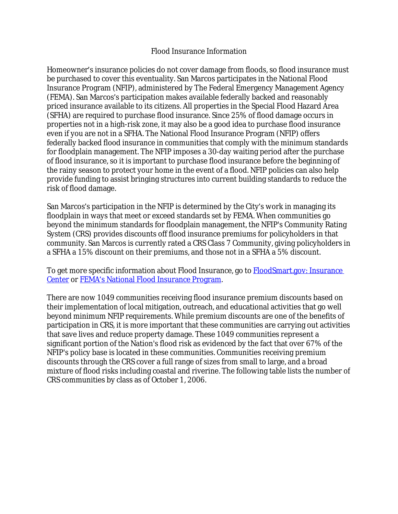## Flood Insurance Information

Homeowner's insurance policies do not cover damage from floods, so flood insurance must be purchased to cover this eventuality. San Marcos participates in the National Flood Insurance Program (NFIP), administered by The Federal Emergency Management Agency (FEMA). San Marcos's participation makes available federally backed and reasonably priced insurance available to its citizens. All properties in the Special Flood Hazard Area (SFHA) are required to purchase flood insurance. Since 25% of flood damage occurs in properties not in a high-risk zone, it may also be a good idea to purchase flood insurance even if you are not in a SFHA. The National Flood Insurance Program (NFIP) offers federally backed flood insurance in communities that comply with the minimum standards for floodplain management. The NFIP imposes a 30-day waiting period after the purchase of flood insurance, so it is important to purchase flood insurance before the beginning of the rainy season to protect your home in the event of a flood. NFIP policies can also help provide funding to assist bringing structures into current building standards to reduce the risk of flood damage.

San Marcos's participation in the NFIP is determined by the City's work in managing its floodplain in ways that meet or exceed standards set by FEMA. When communities go beyond the minimum standards for floodplain management, the NFIP's Community Rating System (CRS) provides discounts off flood insurance premiums for policyholders in that community. San Marcos is currently rated a CRS Class 7 Community, giving policyholders in a SFHA a 15% discount on their premiums, and those not in a SFHA a 5% discount.

To get more specific information about Flood Insurance, go to **FloodSmart.gov: Insurance** Center or FEMA'[s National Flood Insurance Program](http://www.fema.gov/about/programs/nfip/index.shtm).

There are now 1049 communities receiving flood insurance premium discounts based on their implementation of local mitigation, outreach, and educational activities that go well beyond minimum NFIP requirements. While premium discounts are one of the benefits of participation in CRS, it is more important that these communities are carrying out activities that save lives and reduce property damage. These 1049 communities represent a significant portion of the Nation's flood risk as evidenced by the fact that over 67% of the NFIP's policy base is located in these communities. Communities receiving premium discounts through the CRS cover a full range of sizes from small to large, and a broad mixture of flood risks including coastal and riverine. The following table lists the number of CRS communities by class as of October 1, 2006.